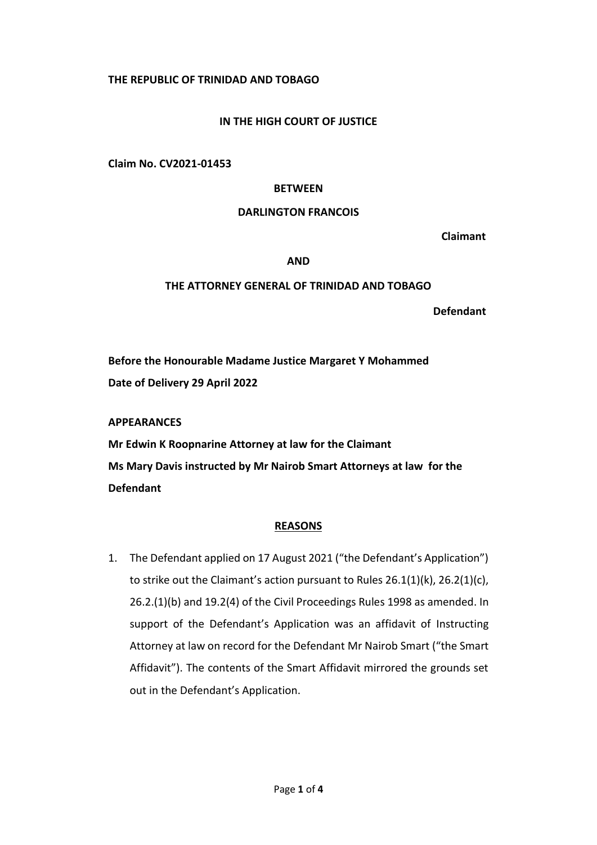# **THE REPUBLIC OF TRINIDAD AND TOBAGO**

# **IN THE HIGH COURT OF JUSTICE**

**Claim No. CV2021-01453**

#### **BETWEEN**

### **DARLINGTON FRANCOIS**

 **Claimant**

#### **AND**

### **THE ATTORNEY GENERAL OF TRINIDAD AND TOBAGO**

**Defendant**

**Before the Honourable Madame Justice Margaret Y Mohammed Date of Delivery 29 April 2022**

**APPEARANCES**

**Mr Edwin K Roopnarine Attorney at law for the Claimant Ms Mary Davis instructed by Mr Nairob Smart Attorneys at law for the Defendant**

## **REASONS**

1. The Defendant applied on 17 August 2021 ("the Defendant's Application") to strike out the Claimant's action pursuant to Rules 26.1(1)(k), 26.2(1)(c), 26.2.(1)(b) and 19.2(4) of the Civil Proceedings Rules 1998 as amended. In support of the Defendant's Application was an affidavit of Instructing Attorney at law on record for the Defendant Mr Nairob Smart ("the Smart Affidavit"). The contents of the Smart Affidavit mirrored the grounds set out in the Defendant's Application.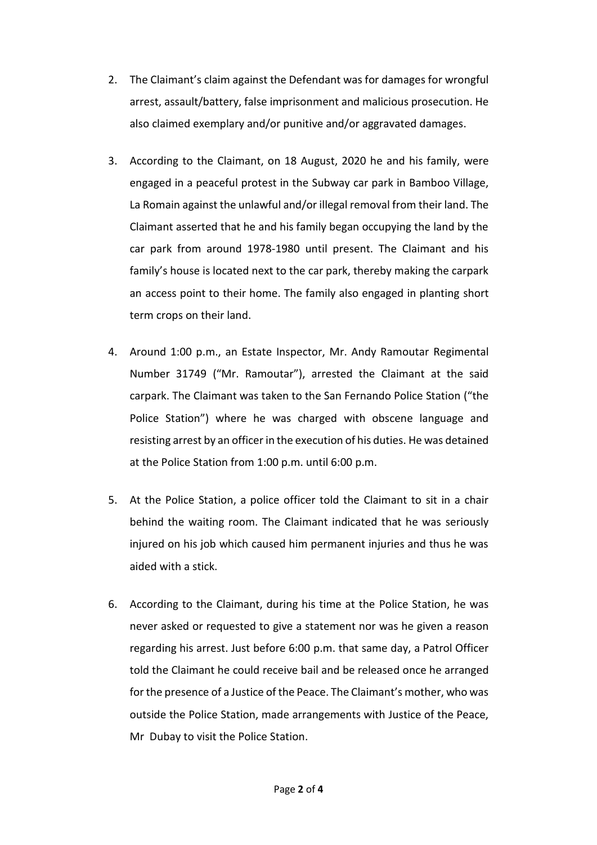- 2. The Claimant's claim against the Defendant was for damages for wrongful arrest, assault/battery, false imprisonment and malicious prosecution. He also claimed exemplary and/or punitive and/or aggravated damages.
- 3. According to the Claimant, on 18 August, 2020 he and his family, were engaged in a peaceful protest in the Subway car park in Bamboo Village, La Romain against the unlawful and/or illegal removal from their land. The Claimant asserted that he and his family began occupying the land by the car park from around 1978-1980 until present. The Claimant and his family's house is located next to the car park, thereby making the carpark an access point to their home. The family also engaged in planting short term crops on their land.
- 4. Around 1:00 p.m., an Estate Inspector, Mr. Andy Ramoutar Regimental Number 31749 ("Mr. Ramoutar"), arrested the Claimant at the said carpark. The Claimant was taken to the San Fernando Police Station ("the Police Station") where he was charged with obscene language and resisting arrest by an officer in the execution of his duties. He was detained at the Police Station from 1:00 p.m. until 6:00 p.m.
- 5. At the Police Station, a police officer told the Claimant to sit in a chair behind the waiting room. The Claimant indicated that he was seriously injured on his job which caused him permanent injuries and thus he was aided with a stick.
- 6. According to the Claimant, during his time at the Police Station, he was never asked or requested to give a statement nor was he given a reason regarding his arrest. Just before 6:00 p.m. that same day, a Patrol Officer told the Claimant he could receive bail and be released once he arranged for the presence of a Justice of the Peace. The Claimant's mother, who was outside the Police Station, made arrangements with Justice of the Peace, Mr Dubay to visit the Police Station.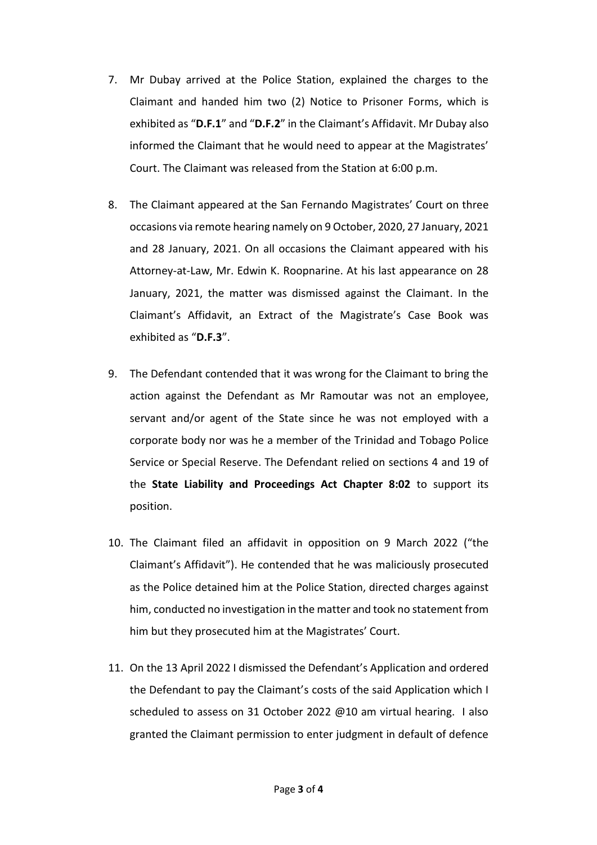- 7. Mr Dubay arrived at the Police Station, explained the charges to the Claimant and handed him two (2) Notice to Prisoner Forms, which is exhibited as "**D.F.1**" and "**D.F.2**" in the Claimant's Affidavit. Mr Dubay also informed the Claimant that he would need to appear at the Magistrates' Court. The Claimant was released from the Station at 6:00 p.m.
- 8. The Claimant appeared at the San Fernando Magistrates' Court on three occasions via remote hearing namely on 9 October, 2020, 27 January, 2021 and 28 January, 2021. On all occasions the Claimant appeared with his Attorney-at-Law, Mr. Edwin K. Roopnarine. At his last appearance on 28 January, 2021, the matter was dismissed against the Claimant. In the Claimant's Affidavit, an Extract of the Magistrate's Case Book was exhibited as "**D.F.3**".
- 9. The Defendant contended that it was wrong for the Claimant to bring the action against the Defendant as Mr Ramoutar was not an employee, servant and/or agent of the State since he was not employed with a corporate body nor was he a member of the Trinidad and Tobago Police Service or Special Reserve. The Defendant relied on sections 4 and 19 of the **State Liability and Proceedings Act Chapter 8:02** to support its position.
- 10. The Claimant filed an affidavit in opposition on 9 March 2022 ("the Claimant's Affidavit"). He contended that he was maliciously prosecuted as the Police detained him at the Police Station, directed charges against him, conducted no investigation in the matter and took no statement from him but they prosecuted him at the Magistrates' Court.
- 11. On the 13 April 2022 I dismissed the Defendant's Application and ordered the Defendant to pay the Claimant's costs of the said Application which I scheduled to assess on 31 October 2022 @10 am virtual hearing. I also granted the Claimant permission to enter judgment in default of defence